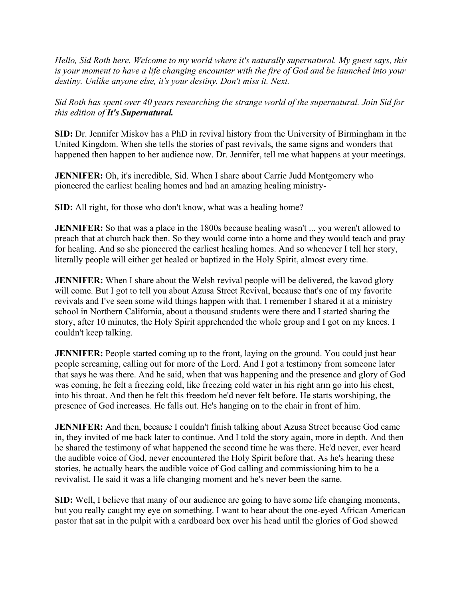*Hello, Sid Roth here. Welcome to my world where it's naturally supernatural. My guest says, this is your moment to have a life changing encounter with the fire of God and be launched into your destiny. Unlike anyone else, it's your destiny. Don't miss it. Next.*

*Sid Roth has spent over 40 years researching the strange world of the supernatural. Join Sid for this edition of It's Supernatural.*

**SID:** Dr. Jennifer Miskov has a PhD in revival history from the University of Birmingham in the United Kingdom. When she tells the stories of past revivals, the same signs and wonders that happened then happen to her audience now. Dr. Jennifer, tell me what happens at your meetings.

**JENNIFER:** Oh, it's incredible, Sid. When I share about Carrie Judd Montgomery who pioneered the earliest healing homes and had an amazing healing ministry-

**SID:** All right, for those who don't know, what was a healing home?

**JENNIFER:** So that was a place in the 1800s because healing wasn't ... you weren't allowed to preach that at church back then. So they would come into a home and they would teach and pray for healing. And so she pioneered the earliest healing homes. And so whenever I tell her story, literally people will either get healed or baptized in the Holy Spirit, almost every time.

**JENNIFER:** When I share about the Welsh revival people will be delivered, the kavod glory will come. But I got to tell you about Azusa Street Revival, because that's one of my favorite revivals and I've seen some wild things happen with that. I remember I shared it at a ministry school in Northern California, about a thousand students were there and I started sharing the story, after 10 minutes, the Holy Spirit apprehended the whole group and I got on my knees. I couldn't keep talking.

**JENNIFER:** People started coming up to the front, laying on the ground. You could just hear people screaming, calling out for more of the Lord. And I got a testimony from someone later that says he was there. And he said, when that was happening and the presence and glory of God was coming, he felt a freezing cold, like freezing cold water in his right arm go into his chest, into his throat. And then he felt this freedom he'd never felt before. He starts worshiping, the presence of God increases. He falls out. He's hanging on to the chair in front of him.

**JENNIFER:** And then, because I couldn't finish talking about Azusa Street because God came in, they invited of me back later to continue. And I told the story again, more in depth. And then he shared the testimony of what happened the second time he was there. He'd never, ever heard the audible voice of God, never encountered the Holy Spirit before that. As he's hearing these stories, he actually hears the audible voice of God calling and commissioning him to be a revivalist. He said it was a life changing moment and he's never been the same.

**SID:** Well, I believe that many of our audience are going to have some life changing moments, but you really caught my eye on something. I want to hear about the one-eyed African American pastor that sat in the pulpit with a cardboard box over his head until the glories of God showed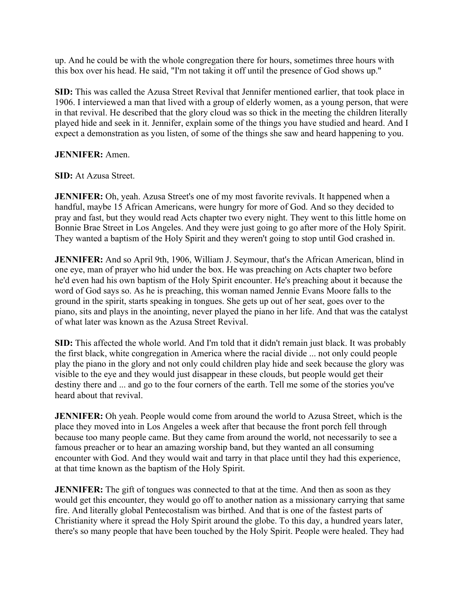up. And he could be with the whole congregation there for hours, sometimes three hours with this box over his head. He said, "I'm not taking it off until the presence of God shows up."

**SID:** This was called the Azusa Street Revival that Jennifer mentioned earlier, that took place in 1906. I interviewed a man that lived with a group of elderly women, as a young person, that were in that revival. He described that the glory cloud was so thick in the meeting the children literally played hide and seek in it. Jennifer, explain some of the things you have studied and heard. And I expect a demonstration as you listen, of some of the things she saw and heard happening to you.

## **JENNIFER:** Amen.

**SID:** At Azusa Street.

**JENNIFER:** Oh, yeah. Azusa Street's one of my most favorite revivals. It happened when a handful, maybe 15 African Americans, were hungry for more of God. And so they decided to pray and fast, but they would read Acts chapter two every night. They went to this little home on Bonnie Brae Street in Los Angeles. And they were just going to go after more of the Holy Spirit. They wanted a baptism of the Holy Spirit and they weren't going to stop until God crashed in.

**JENNIFER:** And so April 9th, 1906, William J. Seymour, that's the African American, blind in one eye, man of prayer who hid under the box. He was preaching on Acts chapter two before he'd even had his own baptism of the Holy Spirit encounter. He's preaching about it because the word of God says so. As he is preaching, this woman named Jennie Evans Moore falls to the ground in the spirit, starts speaking in tongues. She gets up out of her seat, goes over to the piano, sits and plays in the anointing, never played the piano in her life. And that was the catalyst of what later was known as the Azusa Street Revival.

**SID:** This affected the whole world. And I'm told that it didn't remain just black. It was probably the first black, white congregation in America where the racial divide ... not only could people play the piano in the glory and not only could children play hide and seek because the glory was visible to the eye and they would just disappear in these clouds, but people would get their destiny there and ... and go to the four corners of the earth. Tell me some of the stories you've heard about that revival.

**JENNIFER:** Oh yeah. People would come from around the world to Azusa Street, which is the place they moved into in Los Angeles a week after that because the front porch fell through because too many people came. But they came from around the world, not necessarily to see a famous preacher or to hear an amazing worship band, but they wanted an all consuming encounter with God. And they would wait and tarry in that place until they had this experience, at that time known as the baptism of the Holy Spirit.

**JENNIFER:** The gift of tongues was connected to that at the time. And then as soon as they would get this encounter, they would go off to another nation as a missionary carrying that same fire. And literally global Pentecostalism was birthed. And that is one of the fastest parts of Christianity where it spread the Holy Spirit around the globe. To this day, a hundred years later, there's so many people that have been touched by the Holy Spirit. People were healed. They had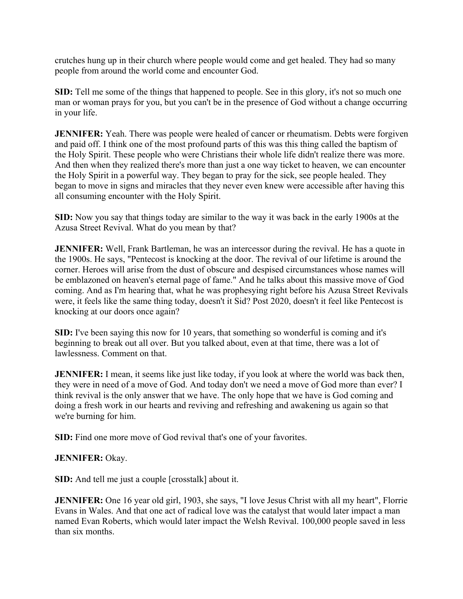crutches hung up in their church where people would come and get healed. They had so many people from around the world come and encounter God.

**SID:** Tell me some of the things that happened to people. See in this glory, it's not so much one man or woman prays for you, but you can't be in the presence of God without a change occurring in your life.

**JENNIFER:** Yeah. There was people were healed of cancer or rheumatism. Debts were forgiven and paid off. I think one of the most profound parts of this was this thing called the baptism of the Holy Spirit. These people who were Christians their whole life didn't realize there was more. And then when they realized there's more than just a one way ticket to heaven, we can encounter the Holy Spirit in a powerful way. They began to pray for the sick, see people healed. They began to move in signs and miracles that they never even knew were accessible after having this all consuming encounter with the Holy Spirit.

**SID:** Now you say that things today are similar to the way it was back in the early 1900s at the Azusa Street Revival. What do you mean by that?

**JENNIFER:** Well, Frank Bartleman, he was an intercessor during the revival. He has a quote in the 1900s. He says, "Pentecost is knocking at the door. The revival of our lifetime is around the corner. Heroes will arise from the dust of obscure and despised circumstances whose names will be emblazoned on heaven's eternal page of fame." And he talks about this massive move of God coming. And as I'm hearing that, what he was prophesying right before his Azusa Street Revivals were, it feels like the same thing today, doesn't it Sid? Post 2020, doesn't it feel like Pentecost is knocking at our doors once again?

**SID:** I've been saying this now for 10 years, that something so wonderful is coming and it's beginning to break out all over. But you talked about, even at that time, there was a lot of lawlessness. Comment on that.

**JENNIFER:** I mean, it seems like just like today, if you look at where the world was back then, they were in need of a move of God. And today don't we need a move of God more than ever? I think revival is the only answer that we have. The only hope that we have is God coming and doing a fresh work in our hearts and reviving and refreshing and awakening us again so that we're burning for him.

**SID:** Find one more move of God revival that's one of your favorites.

## **JENNIFER:** Okay.

**SID:** And tell me just a couple [crosstalk] about it.

**JENNIFER:** One 16 year old girl, 1903, she says, "I love Jesus Christ with all my heart", Florrie Evans in Wales. And that one act of radical love was the catalyst that would later impact a man named Evan Roberts, which would later impact the Welsh Revival. 100,000 people saved in less than six months.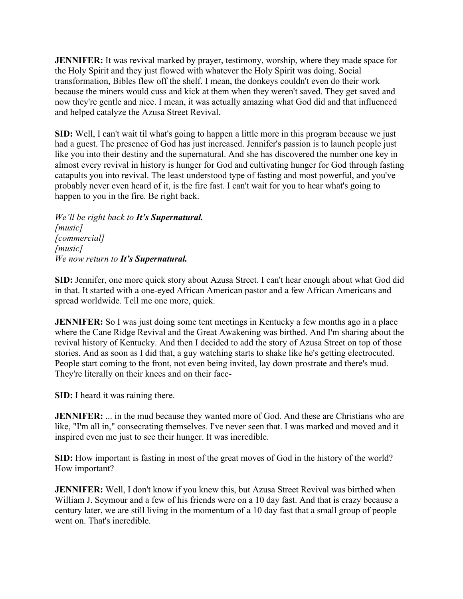**JENNIFER:** It was revival marked by prayer, testimony, worship, where they made space for the Holy Spirit and they just flowed with whatever the Holy Spirit was doing. Social transformation, Bibles flew off the shelf. I mean, the donkeys couldn't even do their work because the miners would cuss and kick at them when they weren't saved. They get saved and now they're gentle and nice. I mean, it was actually amazing what God did and that influenced and helped catalyze the Azusa Street Revival.

**SID:** Well, I can't wait til what's going to happen a little more in this program because we just had a guest. The presence of God has just increased. Jennifer's passion is to launch people just like you into their destiny and the supernatural. And she has discovered the number one key in almost every revival in history is hunger for God and cultivating hunger for God through fasting catapults you into revival. The least understood type of fasting and most powerful, and you've probably never even heard of it, is the fire fast. I can't wait for you to hear what's going to happen to you in the fire. Be right back.

*We'll be right back to It's Supernatural. [music] [commercial] [music] We now return to It's Supernatural.* 

**SID:** Jennifer, one more quick story about Azusa Street. I can't hear enough about what God did in that. It started with a one-eyed African American pastor and a few African Americans and spread worldwide. Tell me one more, quick.

**JENNIFER:** So I was just doing some tent meetings in Kentucky a few months ago in a place where the Cane Ridge Revival and the Great Awakening was birthed. And I'm sharing about the revival history of Kentucky. And then I decided to add the story of Azusa Street on top of those stories. And as soon as I did that, a guy watching starts to shake like he's getting electrocuted. People start coming to the front, not even being invited, lay down prostrate and there's mud. They're literally on their knees and on their face-

**SID:** I heard it was raining there.

**JENNIFER:** ... in the mud because they wanted more of God. And these are Christians who are like, "I'm all in," consecrating themselves. I've never seen that. I was marked and moved and it inspired even me just to see their hunger. It was incredible.

**SID:** How important is fasting in most of the great moves of God in the history of the world? How important?

**JENNIFER:** Well, I don't know if you knew this, but Azusa Street Revival was birthed when William J. Seymour and a few of his friends were on a 10 day fast. And that is crazy because a century later, we are still living in the momentum of a 10 day fast that a small group of people went on. That's incredible.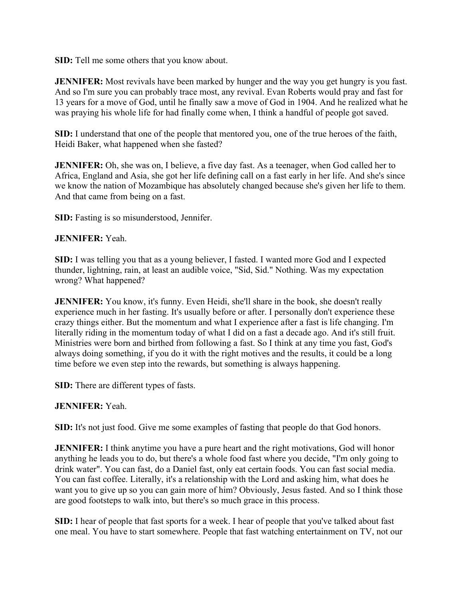**SID:** Tell me some others that you know about.

**JENNIFER:** Most revivals have been marked by hunger and the way you get hungry is you fast. And so I'm sure you can probably trace most, any revival. Evan Roberts would pray and fast for 13 years for a move of God, until he finally saw a move of God in 1904. And he realized what he was praying his whole life for had finally come when, I think a handful of people got saved.

**SID:** I understand that one of the people that mentored you, one of the true heroes of the faith, Heidi Baker, what happened when she fasted?

**JENNIFER:** Oh, she was on, I believe, a five day fast. As a teenager, when God called her to Africa, England and Asia, she got her life defining call on a fast early in her life. And she's since we know the nation of Mozambique has absolutely changed because she's given her life to them. And that came from being on a fast.

**SID:** Fasting is so misunderstood, Jennifer.

## **JENNIFER:** Yeah.

**SID:** I was telling you that as a young believer, I fasted. I wanted more God and I expected thunder, lightning, rain, at least an audible voice, "Sid, Sid." Nothing. Was my expectation wrong? What happened?

**JENNIFER:** You know, it's funny. Even Heidi, she'll share in the book, she doesn't really experience much in her fasting. It's usually before or after. I personally don't experience these crazy things either. But the momentum and what I experience after a fast is life changing. I'm literally riding in the momentum today of what I did on a fast a decade ago. And it's still fruit. Ministries were born and birthed from following a fast. So I think at any time you fast, God's always doing something, if you do it with the right motives and the results, it could be a long time before we even step into the rewards, but something is always happening.

**SID:** There are different types of fasts.

## **JENNIFER:** Yeah.

**SID:** It's not just food. Give me some examples of fasting that people do that God honors.

**JENNIFER:** I think anytime you have a pure heart and the right motivations, God will honor anything he leads you to do, but there's a whole food fast where you decide, "I'm only going to drink water". You can fast, do a Daniel fast, only eat certain foods. You can fast social media. You can fast coffee. Literally, it's a relationship with the Lord and asking him, what does he want you to give up so you can gain more of him? Obviously, Jesus fasted. And so I think those are good footsteps to walk into, but there's so much grace in this process.

**SID:** I hear of people that fast sports for a week. I hear of people that you've talked about fast one meal. You have to start somewhere. People that fast watching entertainment on TV, not our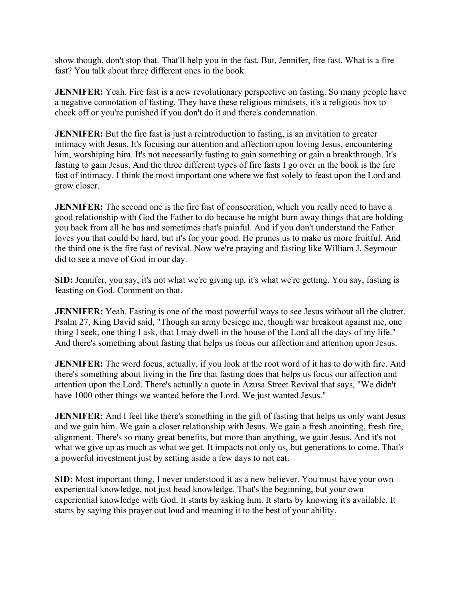show though, don't stop that. That'll help you in the fast. But, Jennifer, fire fast. What is a fire fast? You talk about three different ones in the book.

**JENNIFER:** Yeah. Fire fast is a new revolutionary perspective on fasting. So many people have a negative connotation of fasting. They have these religious mindsets, it's a religious box to check off or you're punished if you don't do it and there's condemnation.

**JENNIFER:** But the fire fast is just a reintroduction to fasting, is an invitation to greater intimacy with Jesus. It's focusing our attention and affection upon loving Jesus, encountering him, worshiping him. It's not necessarily fasting to gain something or gain a breakthrough. It's fasting to gain Jesus. And the three different types of fire fasts I go over in the book is the fire fast of intimacy. I think the most important one where we fast solely to feast upon the Lord and grow closer.

**JENNIFER:** The second one is the fire fast of consecration, which you really need to have a good relationship with God the Father to do because he might burn away things that are holding you back from all he has and sometimes that's painful. And if you don't understand the Father loves you that could be hard, but it's for your good. He prunes us to make us more fruitful. And the third one is the fire fast of revival. Now we're praying and fasting like William J. Seymour did to see a move of God in our day.

**SID:** Jennifer, you say, it's not what we're giving up, it's what we're getting. You say, fasting is feasting on God. Comment on that.

**JENNIFER:** Yeah. Fasting is one of the most powerful ways to see Jesus without all the clutter. Psalm 27, King David said, "Though an army besiege me, though war breakout against me, one thing I seek, one thing I ask, that I may dwell in the house of the Lord all the days of my life." And there's something about fasting that helps us focus our affection and attention upon Jesus.

**JENNIFER:** The word focus, actually, if you look at the root word of it has to do with fire. And there's something about living in the fire that fasting does that helps us focus our affection and attention upon the Lord. There's actually a quote in Azusa Street Revival that says, "We didn't have 1000 other things we wanted before the Lord. We just wanted Jesus."

**JENNIFER:** And I feel like there's something in the gift of fasting that helps us only want Jesus and we gain him. We gain a closer relationship with Jesus. We gain a fresh anointing, fresh fire, alignment. There's so many great benefits, but more than anything, we gain Jesus. And it's not what we give up as much as what we get. It impacts not only us, but generations to come. That's a powerful investment just by setting aside a few days to not eat.

**SID:** Most important thing, I never understood it as a new believer. You must have your own experiential knowledge, not just head knowledge. That's the beginning, but your own experiential knowledge with God. It starts by asking him. It starts by knowing it's available. It starts by saying this prayer out loud and meaning it to the best of your ability.